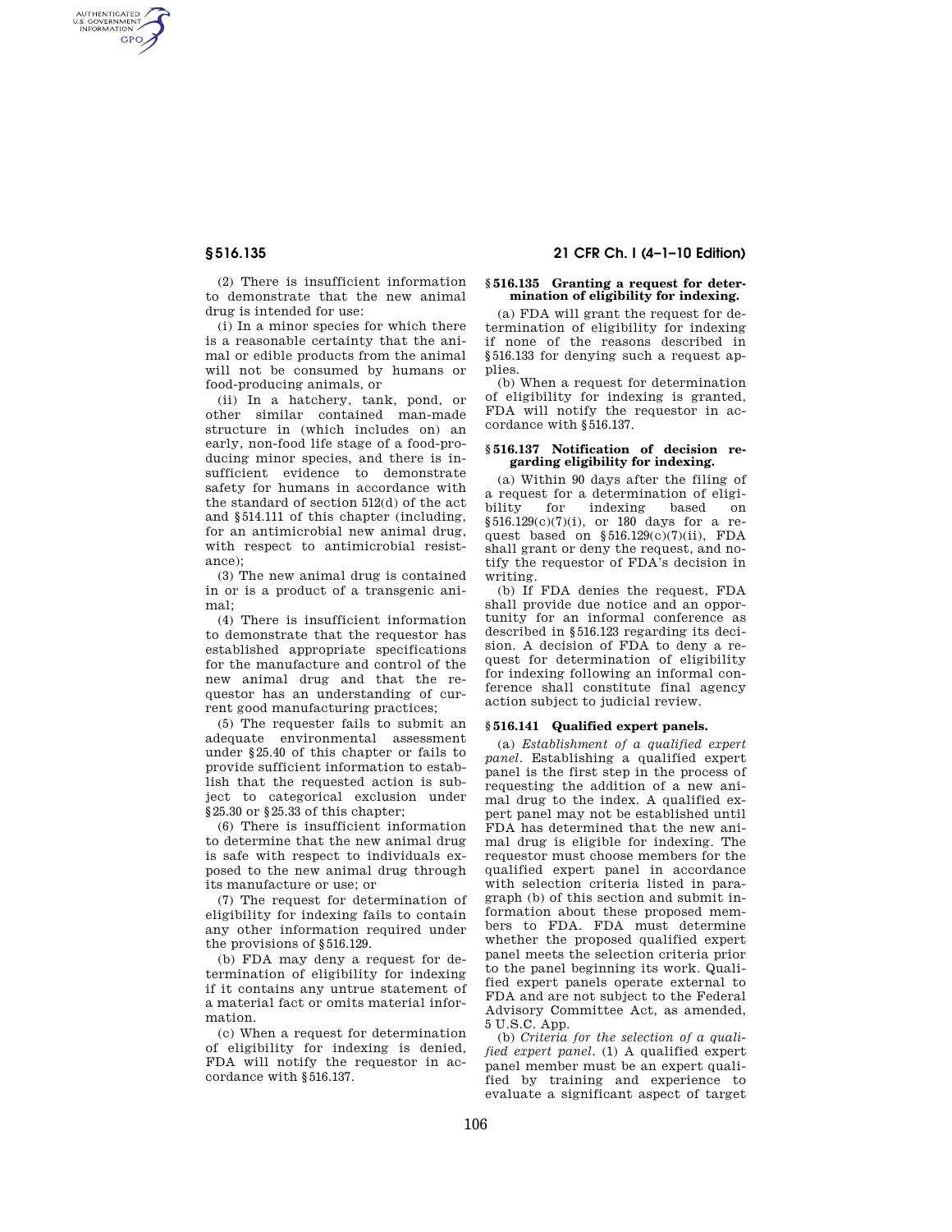AUTHENTICATED<br>U.S. GOVERNMENT<br>INFORMATION **GPO** 

**§ 516.135 21 CFR Ch. I (4–1–10 Edition)** 

(2) There is insufficient information to demonstrate that the new animal drug is intended for use:

(i) In a minor species for which there is a reasonable certainty that the animal or edible products from the animal will not be consumed by humans or food-producing animals, or

(ii) In a hatchery, tank, pond, or other similar contained man-made structure in (which includes on) an early, non-food life stage of a food-producing minor species, and there is insufficient evidence to demonstrate safety for humans in accordance with the standard of section 512(d) of the act and §514.111 of this chapter (including, for an antimicrobial new animal drug, with respect to antimicrobial resistance);

(3) The new animal drug is contained in or is a product of a transgenic animal;

(4) There is insufficient information to demonstrate that the requestor has established appropriate specifications for the manufacture and control of the new animal drug and that the requestor has an understanding of current good manufacturing practices;

(5) The requester fails to submit an adequate environmental assessment under §25.40 of this chapter or fails to provide sufficient information to establish that the requested action is subject to categorical exclusion under §25.30 or §25.33 of this chapter;

(6) There is insufficient information to determine that the new animal drug is safe with respect to individuals exposed to the new animal drug through its manufacture or use; or

(7) The request for determination of eligibility for indexing fails to contain any other information required under the provisions of §516.129.

(b) FDA may deny a request for determination of eligibility for indexing if it contains any untrue statement of a material fact or omits material information.

(c) When a request for determination of eligibility for indexing is denied, FDA will notify the requestor in accordance with §516.137.

#### **§ 516.135 Granting a request for determination of eligibility for indexing.**

(a) FDA will grant the request for determination of eligibility for indexing if none of the reasons described in §516.133 for denying such a request applies.

(b) When a request for determination of eligibility for indexing is granted, FDA will notify the requestor in accordance with §516.137.

#### **§ 516.137 Notification of decision regarding eligibility for indexing.**

(a) Within 90 days after the filing of a request for a determination of eligibility for indexing based on §516.129(c)(7)(i), or 180 days for a request based on §516.129(c)(7)(ii), FDA shall grant or deny the request, and notify the requestor of FDA's decision in writing.

(b) If FDA denies the request, FDA shall provide due notice and an opportunity for an informal conference as described in §516.123 regarding its decision. A decision of FDA to deny a request for determination of eligibility for indexing following an informal conference shall constitute final agency action subject to judicial review.

#### **§ 516.141 Qualified expert panels.**

(a) *Establishment of a qualified expert panel*. Establishing a qualified expert panel is the first step in the process of requesting the addition of a new animal drug to the index. A qualified expert panel may not be established until FDA has determined that the new animal drug is eligible for indexing. The requestor must choose members for the qualified expert panel in accordance with selection criteria listed in paragraph (b) of this section and submit information about these proposed members to FDA. FDA must determine whether the proposed qualified expert panel meets the selection criteria prior to the panel beginning its work. Qualified expert panels operate external to FDA and are not subject to the Federal Advisory Committee Act, as amended, 5 U.S.C. App.

(b) *Criteria for the selection of a qualified expert panel*. (1) A qualified expert panel member must be an expert qualified by training and experience to evaluate a significant aspect of target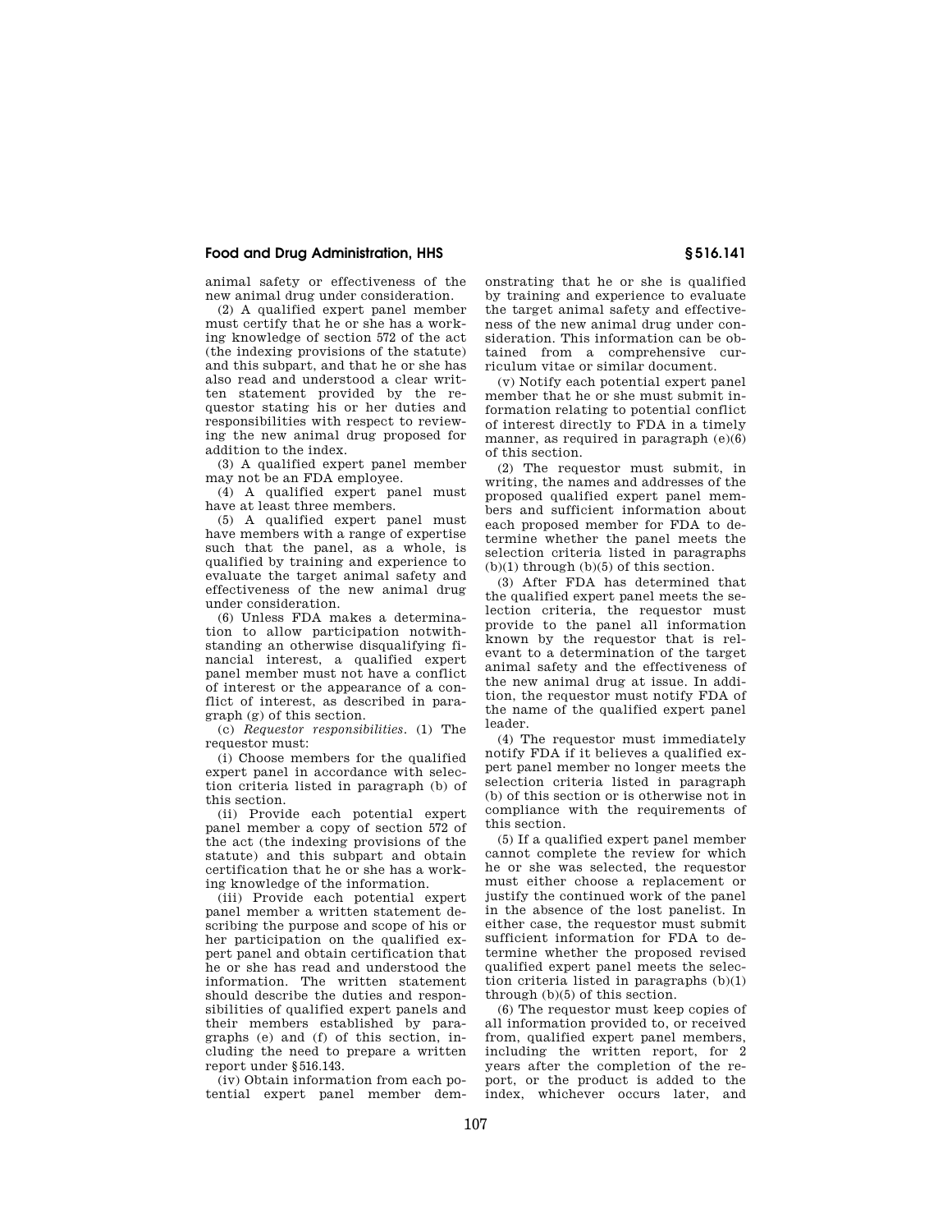## **Food and Drug Administration, HHS § 516.141**

animal safety or effectiveness of the new animal drug under consideration.

(2) A qualified expert panel member must certify that he or she has a working knowledge of section 572 of the act (the indexing provisions of the statute) and this subpart, and that he or she has also read and understood a clear written statement provided by the requestor stating his or her duties and responsibilities with respect to reviewing the new animal drug proposed for addition to the index.

(3) A qualified expert panel member may not be an FDA employee.

(4) A qualified expert panel must have at least three members.

(5) A qualified expert panel must have members with a range of expertise such that the panel, as a whole, is qualified by training and experience to evaluate the target animal safety and effectiveness of the new animal drug under consideration.

(6) Unless FDA makes a determination to allow participation notwithstanding an otherwise disqualifying financial interest, a qualified expert panel member must not have a conflict of interest or the appearance of a conflict of interest, as described in paragraph (g) of this section.

(c) *Requestor responsibilities*. (1) The requestor must:

(i) Choose members for the qualified expert panel in accordance with selection criteria listed in paragraph (b) of this section.

(ii) Provide each potential expert panel member a copy of section 572 of the act (the indexing provisions of the statute) and this subpart and obtain certification that he or she has a working knowledge of the information.

(iii) Provide each potential expert panel member a written statement describing the purpose and scope of his or her participation on the qualified expert panel and obtain certification that he or she has read and understood the information. The written statement should describe the duties and responsibilities of qualified expert panels and their members established by paragraphs (e) and (f) of this section, including the need to prepare a written report under §516.143.

(iv) Obtain information from each potential expert panel member dem-

onstrating that he or she is qualified by training and experience to evaluate the target animal safety and effectiveness of the new animal drug under consideration. This information can be obtained from a comprehensive curriculum vitae or similar document.

(v) Notify each potential expert panel member that he or she must submit information relating to potential conflict of interest directly to FDA in a timely manner, as required in paragraph (e)(6) of this section.

(2) The requestor must submit, in writing, the names and addresses of the proposed qualified expert panel members and sufficient information about each proposed member for FDA to determine whether the panel meets the selection criteria listed in paragraphs  $(b)(1)$  through  $(b)(5)$  of this section.

(3) After FDA has determined that the qualified expert panel meets the selection criteria, the requestor must provide to the panel all information known by the requestor that is relevant to a determination of the target animal safety and the effectiveness of the new animal drug at issue. In addition, the requestor must notify FDA of the name of the qualified expert panel leader.

(4) The requestor must immediately notify FDA if it believes a qualified expert panel member no longer meets the selection criteria listed in paragraph (b) of this section or is otherwise not in compliance with the requirements of this section.

(5) If a qualified expert panel member cannot complete the review for which he or she was selected, the requestor must either choose a replacement or justify the continued work of the panel in the absence of the lost panelist. In either case, the requestor must submit sufficient information for FDA to determine whether the proposed revised qualified expert panel meets the selection criteria listed in paragraphs (b)(1) through (b)(5) of this section.

(6) The requestor must keep copies of all information provided to, or received from, qualified expert panel members, including the written report, for 2 years after the completion of the report, or the product is added to the index, whichever occurs later, and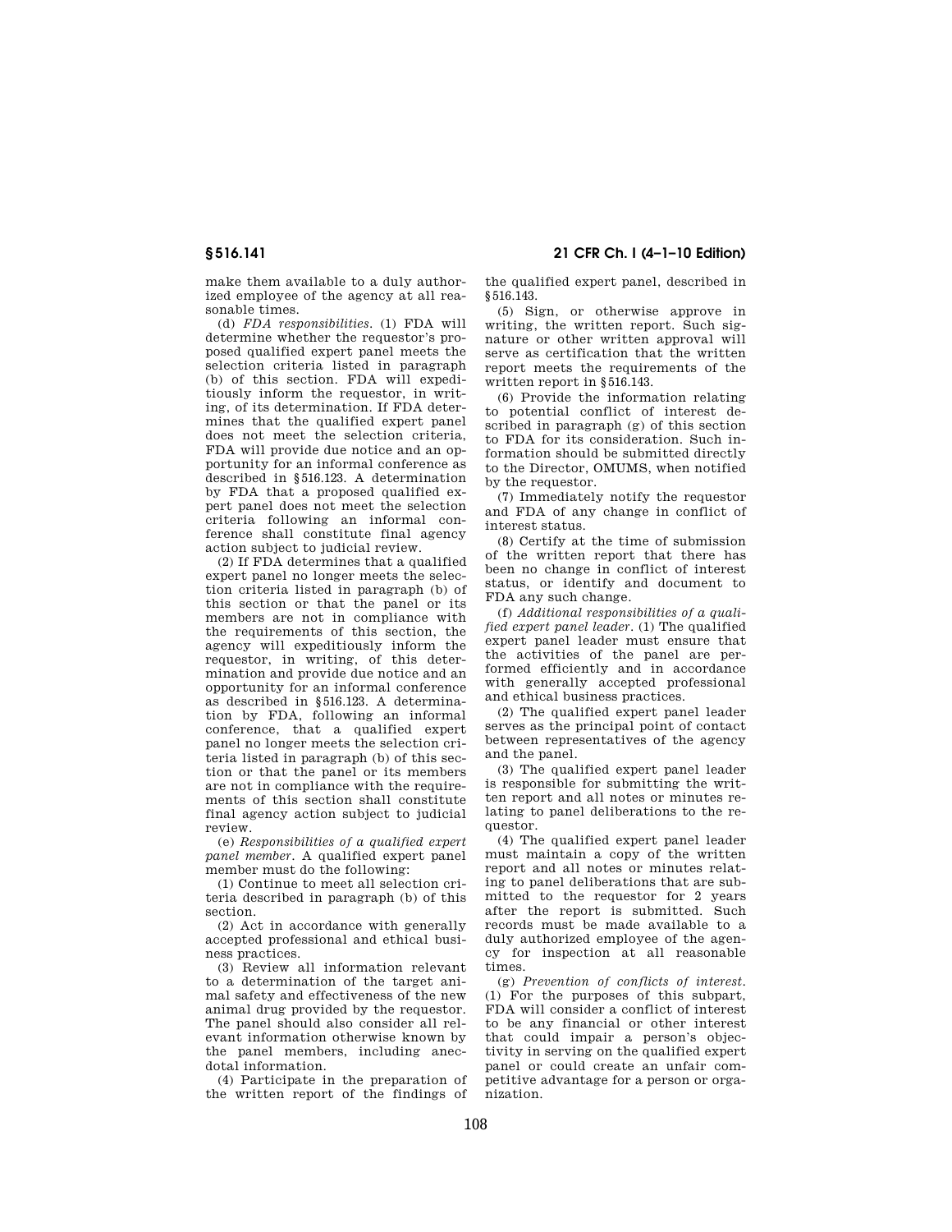make them available to a duly authorized employee of the agency at all reasonable times.

(d) *FDA responsibilities*. (1) FDA will determine whether the requestor's proposed qualified expert panel meets the selection criteria listed in paragraph (b) of this section. FDA will expeditiously inform the requestor, in writing, of its determination. If FDA determines that the qualified expert panel does not meet the selection criteria, FDA will provide due notice and an opportunity for an informal conference as described in §516.123. A determination by FDA that a proposed qualified expert panel does not meet the selection criteria following an informal conference shall constitute final agency action subject to judicial review.

(2) If FDA determines that a qualified expert panel no longer meets the selection criteria listed in paragraph (b) of this section or that the panel or its members are not in compliance with the requirements of this section, the agency will expeditiously inform the requestor, in writing, of this determination and provide due notice and an opportunity for an informal conference as described in §516.123. A determination by FDA, following an informal conference, that a qualified expert panel no longer meets the selection criteria listed in paragraph (b) of this section or that the panel or its members are not in compliance with the requirements of this section shall constitute final agency action subject to judicial review.

(e) *Responsibilities of a qualified expert panel member*. A qualified expert panel member must do the following:

(1) Continue to meet all selection criteria described in paragraph (b) of this section.

(2) Act in accordance with generally accepted professional and ethical business practices.

(3) Review all information relevant to a determination of the target animal safety and effectiveness of the new animal drug provided by the requestor. The panel should also consider all relevant information otherwise known by the panel members, including anecdotal information.

(4) Participate in the preparation of the written report of the findings of

**§ 516.141 21 CFR Ch. I (4–1–10 Edition)** 

the qualified expert panel, described in §516.143.

(5) Sign, or otherwise approve in writing, the written report. Such signature or other written approval will serve as certification that the written report meets the requirements of the written report in §516.143.

(6) Provide the information relating to potential conflict of interest described in paragraph (g) of this section to FDA for its consideration. Such information should be submitted directly to the Director, OMUMS, when notified by the requestor.

(7) Immediately notify the requestor and FDA of any change in conflict of interest status.

(8) Certify at the time of submission of the written report that there has been no change in conflict of interest status, or identify and document to FDA any such change.

(f) *Additional responsibilities of a qualified expert panel leader*. (1) The qualified expert panel leader must ensure that the activities of the panel are performed efficiently and in accordance with generally accepted professional and ethical business practices.

(2) The qualified expert panel leader serves as the principal point of contact between representatives of the agency and the panel.

(3) The qualified expert panel leader is responsible for submitting the written report and all notes or minutes relating to panel deliberations to the requestor.

(4) The qualified expert panel leader must maintain a copy of the written report and all notes or minutes relating to panel deliberations that are submitted to the requestor for 2 years after the report is submitted. Such records must be made available to a duly authorized employee of the agency for inspection at all reasonable times.

(g) *Prevention of conflicts of interest*. (1) For the purposes of this subpart, FDA will consider a conflict of interest to be any financial or other interest that could impair a person's objectivity in serving on the qualified expert panel or could create an unfair competitive advantage for a person or organization.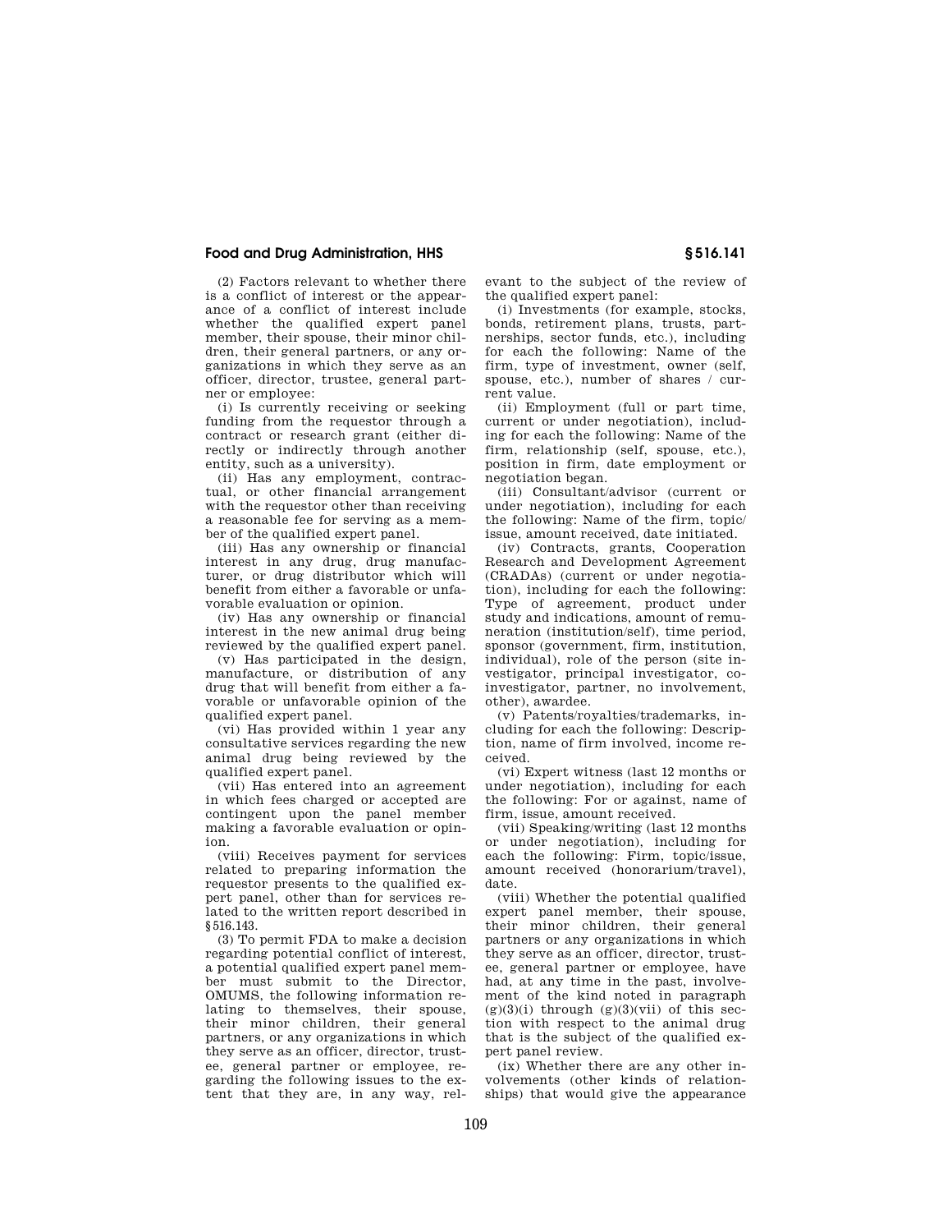# **Food and Drug Administration, HHS § 516.141**

(2) Factors relevant to whether there is a conflict of interest or the appearance of a conflict of interest include whether the qualified expert panel member, their spouse, their minor children, their general partners, or any organizations in which they serve as an officer, director, trustee, general partner or employee:

(i) Is currently receiving or seeking funding from the requestor through a contract or research grant (either directly or indirectly through another entity, such as a university).

(ii) Has any employment, contractual, or other financial arrangement with the requestor other than receiving a reasonable fee for serving as a member of the qualified expert panel.

(iii) Has any ownership or financial interest in any drug, drug manufacturer, or drug distributor which will benefit from either a favorable or unfavorable evaluation or opinion.

(iv) Has any ownership or financial interest in the new animal drug being reviewed by the qualified expert panel.

(v) Has participated in the design, manufacture, or distribution of any drug that will benefit from either a favorable or unfavorable opinion of the qualified expert panel.

(vi) Has provided within 1 year any consultative services regarding the new animal drug being reviewed by the qualified expert panel.

(vii) Has entered into an agreement in which fees charged or accepted are contingent upon the panel member making a favorable evaluation or opinion.

(viii) Receives payment for services related to preparing information the requestor presents to the qualified expert panel, other than for services related to the written report described in §516.143.

(3) To permit FDA to make a decision regarding potential conflict of interest, a potential qualified expert panel member must submit to the Director, OMUMS, the following information relating to themselves, their spouse, their minor children, their general partners, or any organizations in which they serve as an officer, director, trustee, general partner or employee, regarding the following issues to the extent that they are, in any way, relevant to the subject of the review of the qualified expert panel:

(i) Investments (for example, stocks, bonds, retirement plans, trusts, partnerships, sector funds, etc.), including for each the following: Name of the firm, type of investment, owner (self, spouse, etc.), number of shares / current value.

(ii) Employment (full or part time, current or under negotiation), including for each the following: Name of the firm, relationship (self, spouse, etc.), position in firm, date employment or negotiation began.

(iii) Consultant/advisor (current or under negotiation), including for each the following: Name of the firm, topic/ issue, amount received, date initiated.

(iv) Contracts, grants, Cooperation Research and Development Agreement (CRADAs) (current or under negotiation), including for each the following: Type of agreement, product under study and indications, amount of remuneration (institution/self), time period, sponsor (government, firm, institution, individual), role of the person (site investigator, principal investigator, coinvestigator, partner, no involvement, other), awardee.

(v) Patents/royalties/trademarks, including for each the following: Description, name of firm involved, income received.

(vi) Expert witness (last 12 months or under negotiation), including for each the following: For or against, name of firm, issue, amount received.

(vii) Speaking/writing (last 12 months or under negotiation), including for each the following: Firm, topic/issue, amount received (honorarium/travel), date.

(viii) Whether the potential qualified expert panel member, their spouse, their minor children, their general partners or any organizations in which they serve as an officer, director, trustee, general partner or employee, have had, at any time in the past, involvement of the kind noted in paragraph  $(g)(3)(i)$  through  $(g)(3)(vii)$  of this section with respect to the animal drug that is the subject of the qualified expert panel review.

(ix) Whether there are any other involvements (other kinds of relationships) that would give the appearance